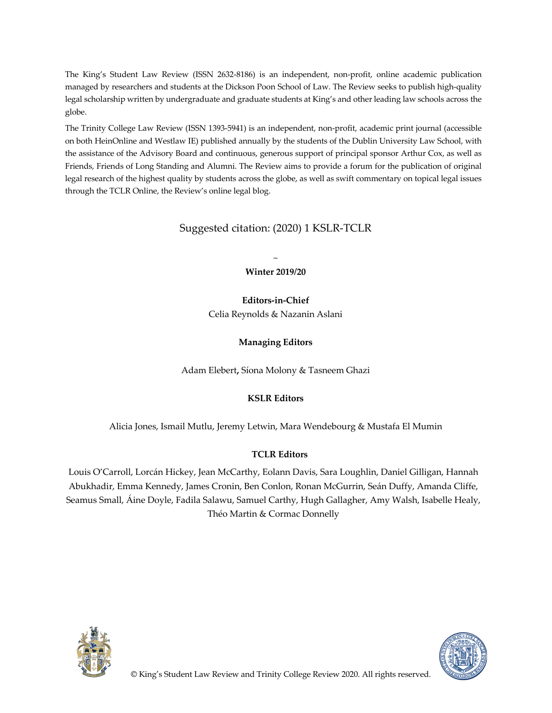The King's Student Law Review (ISSN 2632-8186) is an independent, non-profit, online academic publication managed by researchers and students at the Dickson Poon School of Law. The Review seeks to publish high-quality legal scholarship written by undergraduate and graduate students at King's and other leading law schools across the globe.

The Trinity College Law Review (ISSN 1393-5941) is an independent, non-profit, academic print journal (accessible on both HeinOnline and Westlaw IE) published annually by the students of the Dublin University Law School, with the assistance of the Advisory Board and continuous, generous support of principal sponsor Arthur Cox, as well as Friends, Friends of Long Standing and Alumni. The Review aims to provide a forum for the publication of original legal research of the highest quality by students across the globe, as well as swift commentary on topical legal issues through the TCLR Online, the Review's online legal blog.

### Suggested citation: (2020) 1 KSLR-TCLR

~ **Winter 2019/20**

**Editors-in-Chief** Celia Reynolds & Nazanin Aslani

**Managing Editors**

Adam Elebert**,** Síona Molony & Tasneem Ghazi

#### **KSLR Editors**

Alicia Jones, Ismail Mutlu, Jeremy Letwin, Mara Wendebourg & Mustafa El Mumin

#### **TCLR Editors**

Louis O'Carroll, Lorcán Hickey, Jean McCarthy, Eolann Davis, Sara Loughlin, Daniel Gilligan, Hannah Abukhadir, Emma Kennedy, James Cronin, Ben Conlon, Ronan McGurrin, Seán Duffy, Amanda Cliffe, Seamus Small, Áine Doyle, Fadila Salawu, Samuel Carthy, Hugh Gallagher, Amy Walsh, Isabelle Healy, Théo Martin & Cormac Donnelly



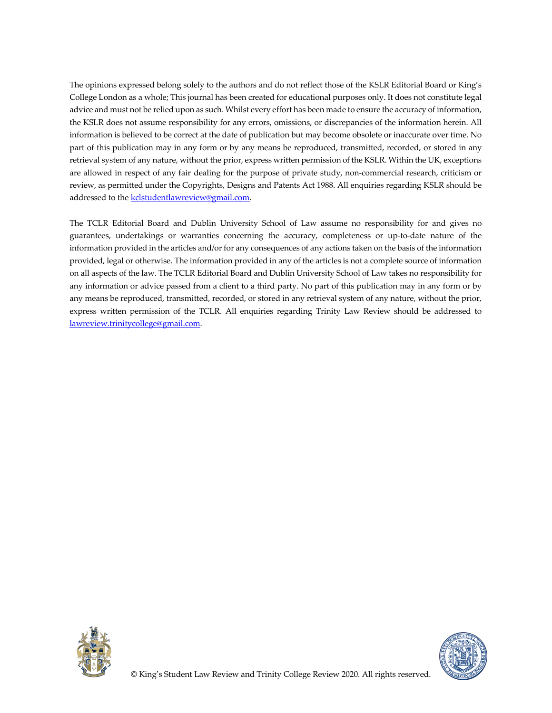The opinions expressed belong solely to the authors and do not reflect those of the KSLR Editorial Board or King's College London as a whole; This journal has been created for educational purposes only. It does not constitute legal advice and must not be relied upon as such. Whilst every effort has been made to ensure the accuracy of information, the KSLR does not assume responsibility for any errors, omissions, or discrepancies of the information herein. All information is believed to be correct at the date of publication but may become obsolete or inaccurate over time. No part of this publication may in any form or by any means be reproduced, transmitted, recorded, or stored in any retrieval system of any nature, without the prior, express written permission of the KSLR. Within the UK, exceptions are allowed in respect of any fair dealing for the purpose of private study, non-commercial research, criticism or review, as permitted under the Copyrights, Designs and Patents Act 1988. All enquiries regarding KSLR should be addressed to the **kclstudentlawreview@gmail.com**.

The TCLR Editorial Board and Dublin University School of Law assume no responsibility for and gives no guarantees, undertakings or warranties concerning the accuracy, completeness or up-to-date nature of the information provided in the articles and/or for any consequences of any actions taken on the basis of the information provided, legal or otherwise. The information provided in any of the articles is not a complete source of information on all aspects of the law. The TCLR Editorial Board and Dublin University School of Law takes no responsibility for any information or advice passed from a client to a third party. No part of this publication may in any form or by any means be reproduced, transmitted, recorded, or stored in any retrieval system of any nature, without the prior, express written permission of the TCLR. All enquiries regarding Trinity Law Review should be addressed to lawreview.trinitycollege@gmail.com.



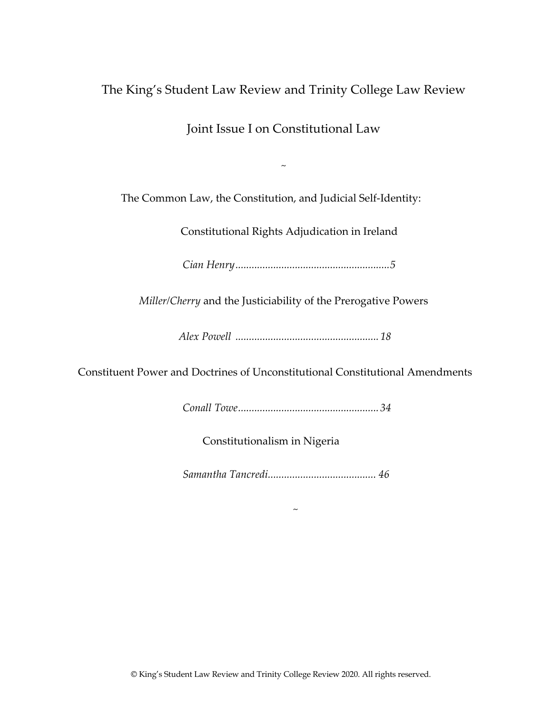# The King's Student Law Review and Trinity College Law Review

Joint Issue I on Constitutional Law

 $\sim$ 

The Common Law, the Constitution, and Judicial Self-Identity:

Constitutional Rights Adjudication in Ireland

*Cian Henry.........................................................5*

*Miller/Cherry* and the Justiciability of the Prerogative Powers

*Alex Powell ..................................................... 18* 

Constituent Power and Doctrines of Unconstitutional Constitutional Amendments

*Conall Towe.................................................... 34*

Constitutionalism in Nigeria

*Samantha Tancredi........................................ 46*

 $\sim$